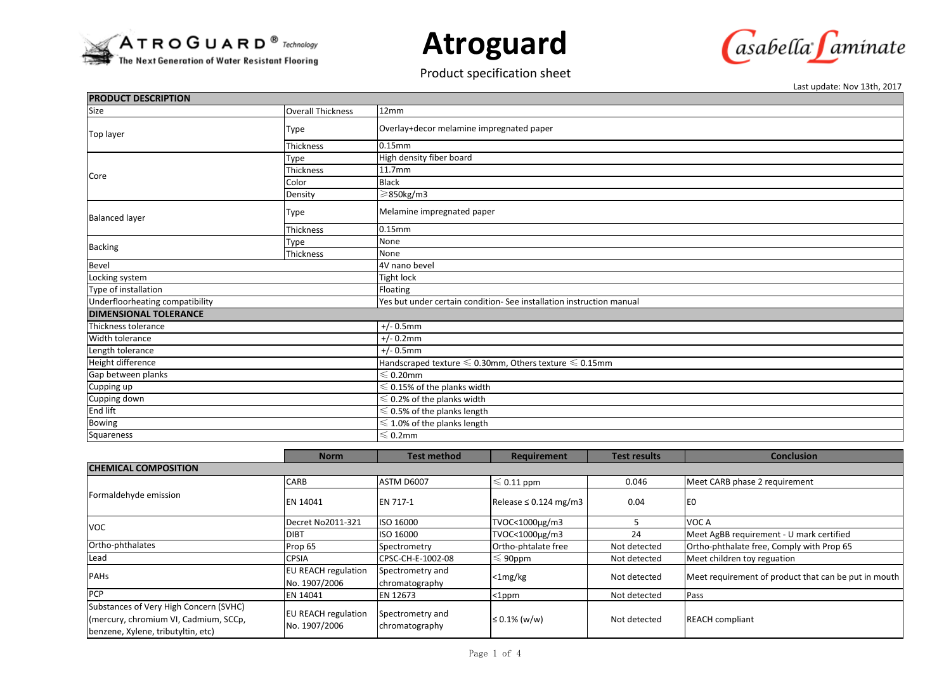

**Atroguard**

## Product specification sheet



Last update: Nov 13th, 2017

| <b>PRODUCT DESCRIPTION</b>                           |                                       |                                                                           |                    |                     |                   |  |  |  |
|------------------------------------------------------|---------------------------------------|---------------------------------------------------------------------------|--------------------|---------------------|-------------------|--|--|--|
| Size                                                 | <b>Overall Thickness</b>              | 12mm                                                                      |                    |                     |                   |  |  |  |
| Top layer<br>Core                                    | Type                                  | Overlay+decor melamine impregnated paper                                  |                    |                     |                   |  |  |  |
|                                                      | Thickness                             | 0.15mm                                                                    |                    |                     |                   |  |  |  |
|                                                      | Type                                  | High density fiber board                                                  |                    |                     |                   |  |  |  |
|                                                      | <b>Thickness</b>                      | 11.7mm                                                                    |                    |                     |                   |  |  |  |
|                                                      | Color                                 | <b>Black</b>                                                              |                    |                     |                   |  |  |  |
|                                                      | Density                               | ≥850kg/m3                                                                 |                    |                     |                   |  |  |  |
| <b>Balanced layer</b>                                | Type                                  | Melamine impregnated paper                                                |                    |                     |                   |  |  |  |
|                                                      | Thickness                             | 0.15mm                                                                    |                    |                     |                   |  |  |  |
| <b>Backing</b>                                       | Type                                  | None                                                                      |                    |                     |                   |  |  |  |
|                                                      | Thickness                             | None                                                                      |                    |                     |                   |  |  |  |
| Bevel                                                |                                       | 4V nano bevel                                                             |                    |                     |                   |  |  |  |
| Locking system                                       |                                       | <b>Tight lock</b>                                                         |                    |                     |                   |  |  |  |
| Type of installation                                 |                                       | Floating                                                                  |                    |                     |                   |  |  |  |
| Underfloorheating compatibility                      |                                       | Yes but under certain condition- See installation instruction manual      |                    |                     |                   |  |  |  |
| <b>DIMENSIONAL TOLERANCE</b>                         |                                       |                                                                           |                    |                     |                   |  |  |  |
| Thickness tolerance                                  |                                       | $+/- 0.5$ mm                                                              |                    |                     |                   |  |  |  |
| <b>Width tolerance</b>                               |                                       | $+/- 0.2$ mm                                                              |                    |                     |                   |  |  |  |
| Length tolerance                                     |                                       | $+/- 0.5$ mm                                                              |                    |                     |                   |  |  |  |
| Height difference                                    |                                       | Handscraped texture $\leqslant$ 0.30mm, Others texture $\leqslant$ 0.15mm |                    |                     |                   |  |  |  |
| Gap between planks                                   |                                       | $\leqslant$ 0.20mm                                                        |                    |                     |                   |  |  |  |
| Cupping up                                           | $\leqslant$ 0.15% of the planks width |                                                                           |                    |                     |                   |  |  |  |
| Cupping down<br>$\leqslant$ 0.2% of the planks width |                                       |                                                                           |                    |                     |                   |  |  |  |
| End lift                                             |                                       | $\leqslant$ 0.5% of the planks length                                     |                    |                     |                   |  |  |  |
| Bowing                                               | $\leqslant$ 1.0% of the planks length |                                                                           |                    |                     |                   |  |  |  |
| Squareness                                           |                                       | $\leqslant$ 0.2mm                                                         |                    |                     |                   |  |  |  |
|                                                      |                                       |                                                                           |                    |                     |                   |  |  |  |
|                                                      | <b>Norm</b>                           | <b>Test method</b>                                                        | <b>Requirement</b> | <b>Test results</b> | <b>Conclusion</b> |  |  |  |

|                                                                                                                       | <b>NUTHE</b>                                | Test Method                        | <b>Requirement</b>         | <b>TEST LESUILS</b> | CONCIUSION                                           |  |  |
|-----------------------------------------------------------------------------------------------------------------------|---------------------------------------------|------------------------------------|----------------------------|---------------------|------------------------------------------------------|--|--|
| <b>CHEMICAL COMPOSITION</b>                                                                                           |                                             |                                    |                            |                     |                                                      |  |  |
| Formaldehyde emission                                                                                                 | CARB                                        | <b>ASTM D6007</b>                  | $\leqslant$ 0.11 ppm       | 0.046               | Meet CARB phase 2 requirement                        |  |  |
|                                                                                                                       | <b>EN 14041</b>                             | <b>EN 717-1</b>                    | Release $\leq 0.124$ mg/m3 | 0.04                | IE <sub>0</sub>                                      |  |  |
| VOC                                                                                                                   | Decret No2011-321                           | ISO 16000                          | TVOC<1000µg/m3             |                     | VOC A                                                |  |  |
|                                                                                                                       | <b>DIBT</b>                                 | ISO 16000                          | TVOC<1000µg/m3             | 24                  | Meet AgBB requirement - U mark certified             |  |  |
| Ortho-phthalates                                                                                                      | Prop 65                                     | Spectrometry                       | Ortho-phtalate free        | Not detected        | Ortho-phthalate free, Comply with Prop 65            |  |  |
| Lead                                                                                                                  | <b>CPSIA</b>                                | CPSC-CH-E-1002-08                  | $\leqslant$ 90ppm          | Not detected        | Meet children toy reguation                          |  |  |
| <b>PAHs</b>                                                                                                           | <b>EU REACH regulation</b><br>No. 1907/2006 | Spectrometry and<br>chromatography | $<$ 1mg/kg                 | Not detected        | Meet requirement of product that can be put in mouth |  |  |
| <b>PCP</b>                                                                                                            | <b>EN 14041</b>                             | EN 12673                           | $<$ 1ppm                   | Not detected        | Pass                                                 |  |  |
| Substances of Very High Concern (SVHC)<br>(mercury, chromium VI, Cadmium, SCCp,<br>benzene, Xylene, tributyltin, etc) | <b>EU REACH regulation</b><br>No. 1907/2006 | Spectrometry and<br>chromatography | ≤ 0.1% (w/w)               | Not detected        | <b>REACH</b> compliant                               |  |  |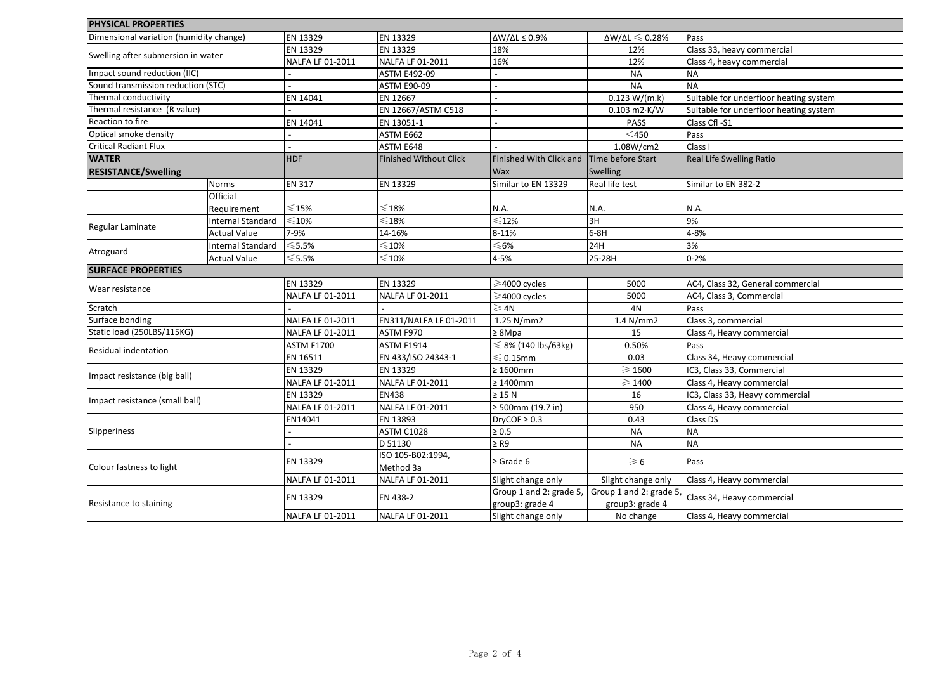| <b>PHYSICAL PROPERTIES</b>              |                          |                         |                                |                                |                                      |                                        |
|-----------------------------------------|--------------------------|-------------------------|--------------------------------|--------------------------------|--------------------------------------|----------------------------------------|
| Dimensional variation (humidity change) |                          | EN 13329                | EN 13329                       | $\Delta W/\Delta L \leq 0.9\%$ | $\Delta W/\Delta L \leqslant 0.28\%$ | Pass                                   |
| Swelling after submersion in water      |                          | EN 13329                | EN 13329                       | 18%                            | 12%                                  | Class 33, heavy commercial             |
|                                         |                          | NALFA LF 01-2011        | NALFA LF 01-2011               | 16%                            | 12%                                  | Class 4, heavy commercial              |
| Impact sound reduction (IIC)            |                          |                         | <b>ASTM E492-09</b>            |                                | <b>NA</b>                            | <b>NA</b>                              |
| Sound transmission reduction (STC)      |                          |                         | <b>ASTM E90-09</b>             |                                | <b>NA</b>                            | <b>NA</b>                              |
| Thermal conductivity                    |                          | EN 14041                | EN 12667                       |                                | 0.123 W/(m.k)                        | Suitable for underfloor heating system |
| Thermal resistance (R value)            |                          |                         | EN 12667/ASTM C518             |                                | $0.103$ m2 $\cdot$ K/W               | Suitable for underfloor heating system |
| Reaction to fire                        |                          | EN 14041                | EN 13051-1                     |                                | <b>PASS</b>                          | Class Cfl -S1                          |
| Optical smoke density                   |                          |                         | ASTM E662                      |                                | $<$ 450                              | Pass                                   |
| <b>Critical Radiant Flux</b>            |                          |                         | ASTM E648                      |                                | 1.08W/cm2                            | Class I                                |
| <b>WATER</b>                            |                          | <b>HDF</b>              | <b>Finished Without Click</b>  | Finished With Click and        | Time before Start                    | Real Life Swelling Ratio               |
| <b>RESISTANCE/Swelling</b>              |                          |                         |                                | Wax                            | Swelling                             |                                        |
|                                         | <b>Norms</b>             | <b>EN 317</b>           | EN 13329                       | Similar to EN 13329            | Real life test                       | Similar to EN 382-2                    |
|                                         | Official                 |                         |                                |                                |                                      |                                        |
|                                         | Requirement              | $\leqslant$ 15%         | $\leqslant$ 18%                | N.A.                           | N.A.                                 | N.A.                                   |
|                                         | Internal Standard        | $\leqslant$ 10%         | $\leqslant$ 18%                | $\leqslant$ 12%                | 3H                                   | 9%                                     |
| Regular Laminate                        | <b>Actual Value</b>      | 7-9%                    | 14-16%                         | 8-11%                          | $6-8H$                               | 4-8%                                   |
|                                         | <b>Internal Standard</b> | $\leqslant$ 5.5%        | $\leqslant$ 10%                | $\leqslant$ 6%                 | 24H                                  | 3%                                     |
| Atroguard                               | <b>Actual Value</b>      | $\leqslant$ 5.5%        | $\leqslant$ 10%                | 4-5%                           | 25-28H                               | $0 - 2%$                               |
| <b>SURFACE PROPERTIES</b>               |                          |                         |                                |                                |                                      |                                        |
|                                         |                          | EN 13329                | EN 13329                       | $\geq$ 4000 cycles             | 5000                                 | AC4, Class 32, General commercial      |
| Wear resistance                         |                          | NALFA LF 01-2011        | NALFA LF 01-2011               | $\geq$ 4000 cycles             | 5000                                 | AC4, Class 3, Commercial               |
| Scratch                                 |                          |                         |                                | $\geqslant$ 4N                 | 4N                                   | Pass                                   |
| Surface bonding                         |                          | NALFA LF 01-2011        | EN311/NALFA LF 01-2011         | 1.25 N/mm2                     | 1.4 N/mm2                            | Class 3, commercial                    |
| Static load (250LBS/115KG)              |                          | NALFA LF 01-2011        | ASTM F970                      | $\geq 8$ Mpa                   | 15                                   | Class 4, Heavy commercial              |
|                                         |                          | <b>ASTM F1700</b>       | <b>ASTM F1914</b>              | $\leq 8\%$ (140 lbs/63kg)      | 0.50%                                | Pass                                   |
| Residual indentation                    |                          | EN 16511                | EN 433/ISO 24343-1             | $\leqslant$ 0.15mm             | 0.03                                 | Class 34, Heavy commercial             |
|                                         |                          | EN 13329                | EN 13329                       | $\geq 1600$ mm                 | $\geqslant$ 1600                     | IC3, Class 33, Commercial              |
| Impact resistance (big ball)            |                          | <b>NALFA LF 01-2011</b> | NALFA LF 01-2011               | $\geq 1400$ mm                 | $\geqslant$ 1400                     | Class 4, Heavy commercial              |
| Impact resistance (small ball)          |                          | EN 13329                | <b>EN438</b>                   | $\geq$ 15 N                    | 16                                   | IC3, Class 33, Heavy commercial        |
|                                         |                          | NALFA LF 01-2011        | NALFA LF 01-2011               | ≥ 500mm (19.7 in)              | 950                                  | Class 4, Heavy commercial              |
|                                         |                          | EN14041                 | EN 13893                       | DryCOF $\geq 0.3$              | 0.43                                 | Class DS                               |
| Slipperiness                            |                          |                         | ASTM C1028                     | $\geq 0.5$                     | <b>NA</b>                            | <b>NA</b>                              |
|                                         |                          |                         | D 51130                        | $\geq$ R9                      | <b>NA</b>                            | <b>NA</b>                              |
| Colour fastness to light                |                          | EN 13329                | ISO 105-B02:1994,<br>Method 3a | $\geq$ Grade 6                 | $\geqslant 6$                        | Pass                                   |
|                                         |                          | NALFA LF 01-2011        | NALFA LF 01-2011               | Slight change only             | Slight change only                   | Class 4, Heavy commercial              |
|                                         |                          |                         |                                | Group 1 and 2: grade 5,        | Group 1 and 2: grade 5               |                                        |
| Resistance to staining                  |                          | EN 13329                | EN 438-2                       | group3: grade 4                | group3: grade 4                      | Class 34, Heavy commercial             |
|                                         |                          | NALFA LF 01-2011        | NALFA LF 01-2011               | Slight change only             | No change                            | Class 4, Heavy commercial              |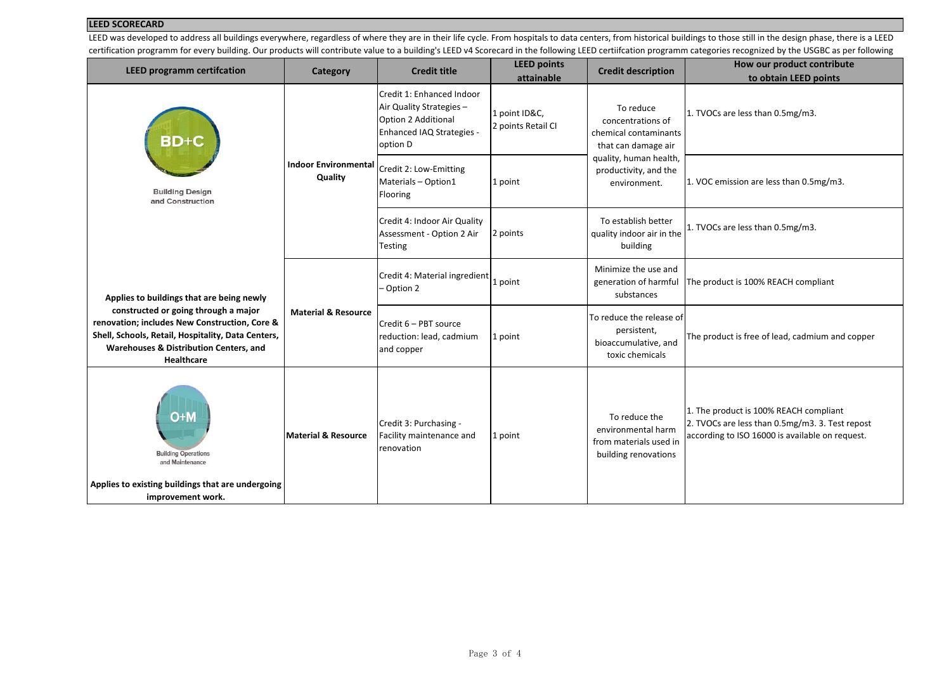## **LEED SCORECARD**

LEED was developed to address all buildings everywhere, regardless of where they are in their life cycle. From hospitals to data centers, from historical buildings to those still in the design phase, there is a LEED certification programm for every building. Our products will contribute value to a building's LEED v4 Scorecard in the following LEED certifcation programm categories recognized by the USGBC as per following

| <b>LEED programm certifcation</b>                                                                                                                                                                          | Category                               | <b>Credit title</b>                                                                                                          | <b>LEED points</b><br>attainable    | <b>Credit description</b>                                                                                                                         | How our product contribute<br>to obtain LEED points                                                                                          |
|------------------------------------------------------------------------------------------------------------------------------------------------------------------------------------------------------------|----------------------------------------|------------------------------------------------------------------------------------------------------------------------------|-------------------------------------|---------------------------------------------------------------------------------------------------------------------------------------------------|----------------------------------------------------------------------------------------------------------------------------------------------|
| BD+C<br><b>Building Design</b><br>and Construction                                                                                                                                                         | <b>Indoor Environmental</b><br>Quality | Credit 1: Enhanced Indoor<br>Air Quality Strategies -<br>Option 2 Additional<br><b>Enhanced IAQ Strategies -</b><br>option D | 1 point ID&C,<br>2 points Retail CI | To reduce<br>concentrations of<br>chemical contaminants<br>that can damage air<br>quality, human health,<br>productivity, and the<br>environment. | 1. TVOCs are less than 0.5mg/m3.                                                                                                             |
|                                                                                                                                                                                                            |                                        | Credit 2: Low-Emitting<br>Materials - Option1<br>Flooring                                                                    | 1 point                             |                                                                                                                                                   | 1. VOC emission are less than 0.5mg/m3.                                                                                                      |
|                                                                                                                                                                                                            |                                        | Credit 4: Indoor Air Quality<br>Assessment - Option 2 Air<br>Testing                                                         | 2 points                            | To establish better<br>quality indoor air in the<br>building                                                                                      | 1. TVOCs are less than 0.5mg/m3.                                                                                                             |
| Applies to buildings that are being newly                                                                                                                                                                  | <b>Material &amp; Resource</b>         | Credit 4: Material ingredient<br>- Option 2                                                                                  | 1 point                             | Minimize the use and<br>generation of harmful<br>substances                                                                                       | The product is 100% REACH compliant                                                                                                          |
| constructed or going through a major<br>renovation; includes New Construction, Core &<br>Shell, Schools, Retail, Hospitality, Data Centers,<br>Warehouses & Distribution Centers, and<br><b>Healthcare</b> |                                        | Credit 6 - PBT source<br>reduction: lead, cadmium<br>and copper                                                              | 1 point                             | To reduce the release of<br>persistent,<br>bioaccumulative, and<br>toxic chemicals                                                                | The product is free of lead, cadmium and copper                                                                                              |
| O+M<br><b>Building Operations</b><br>and Maintenance                                                                                                                                                       | <b>Material &amp; Resource</b>         | Credit 3: Purchasing -<br>Facility maintenance and<br>renovation                                                             | 1 point                             | To reduce the<br>environmental harm<br>from materials used in<br>building renovations                                                             | 1. The product is 100% REACH compliant<br>2. TVOCs are less than 0.5mg/m3. 3. Test repost<br>according to ISO 16000 is available on request. |
| Applies to existing buildings that are undergoing<br>improvement work.                                                                                                                                     |                                        |                                                                                                                              |                                     |                                                                                                                                                   |                                                                                                                                              |